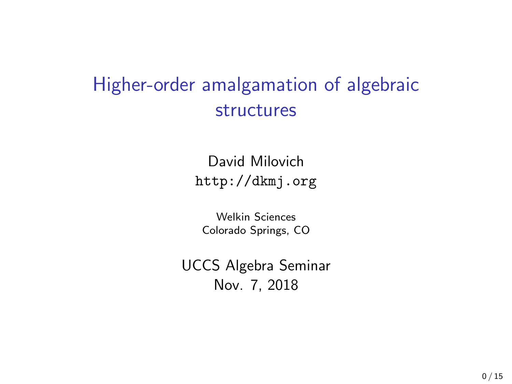# Higher-order amalgamation of algebraic structures

David Milovich <http://dkmj.org>

Welkin Sciences Colorado Springs, CO

UCCS Algebra Seminar Nov. 7, 2018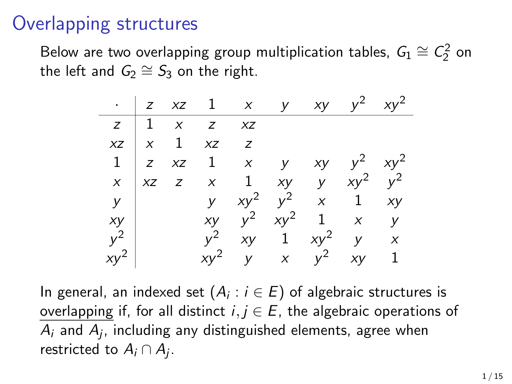## Overlapping structures

Below are two overlapping group multiplication tables,  $G_1\cong C_2^2$  on the left and  $G_2 \cong S_3$  on the right.

|                  |  |                                     | $\cdot$   z xz 1 x y xy y <sup>2</sup> xy <sup>2</sup>      |            |        |
|------------------|--|-------------------------------------|-------------------------------------------------------------|------------|--------|
|                  |  | $z \mid 1 \times z \times z$        |                                                             |            |        |
|                  |  | $xz \mid x \mid 1 \quad xz \quad z$ |                                                             |            |        |
|                  |  |                                     | $1 \mid z \mid xz \mid 1 \mid x \mid y$                     | $xy$ $y^2$ | $xy^2$ |
| $\boldsymbol{X}$ |  |                                     | xz z x 1 xy y $xy^2$ $y^2$                                  |            |        |
| $\mathsf{y}$     |  |                                     | $\begin{vmatrix} y & xy^2 & y^2 & x & 1 & xy \end{vmatrix}$ |            |        |
| xy               |  |                                     | <i>xy</i> $y^2$ $xy^2$ 1 <i>x y</i>                         |            |        |
| $y^2$            |  | $v^2$                               | $xy$ 1 $xy^2$ y x                                           |            |        |
| $xy^2$           |  |                                     | $xy^2$ y x $y^2$ xy 1                                       |            |        |

In general, an indexed set  $(A_i:i\in E)$  of algebraic structures is overlapping if, for all distinct  $i, j \in E$ , the algebraic operations of  $A_i$  and  $A_j$ , including any distinguished elements, agree when restricted to  $A_i \cap A_j$ .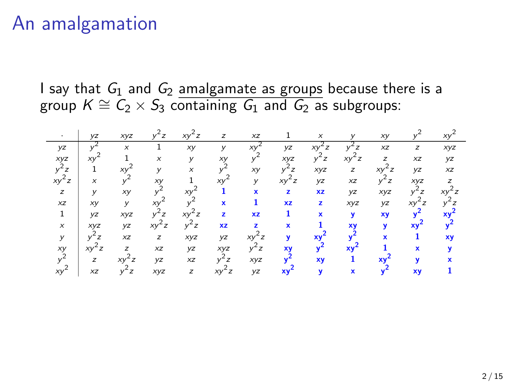## An amalgamation

I say that  $G_1$  and  $G_2$  amalgamate as groups because there is a group  $K \cong C_2 \times S_3$  containing  $G_1$  and  $G_2$  as subgroups:

|            | <b>VZ</b>   | xyz                       | ʻz                        | xy                        | $\overline{z}$ | XZ        |         |             |     | хy             |              | $X\$ |
|------------|-------------|---------------------------|---------------------------|---------------------------|----------------|-----------|---------|-------------|-----|----------------|--------------|------|
| yz         |             | $\boldsymbol{\mathsf{x}}$ |                           | хy                        |                | XV        | yz      |             |     | XZ             | z            | xyz  |
| xyz        | XV          |                           | $\boldsymbol{\mathsf{x}}$ | v                         | xy             |           | XVZ     | z           |     | $\overline{z}$ | XZ           | yz   |
| $v^2$<br>z |             | xy                        | v                         | $\boldsymbol{\mathsf{x}}$ |                | хy        | z       | xyz         | z   | XV<br>z        | yz           | XZ   |
| xy<br>z    | x           |                           | хy                        |                           | XV             | У         | хy<br>z | yz          | XZ  | ʻz             | xyz          |      |
| z          | v           | хy                        |                           | XV                        |                | ×         | z       | <b>xz</b>   | yz  | xyz            |              |      |
| XZ         | XV          | v                         | $X\$                      |                           | $\mathbf{x}$   | 1         | XZ      | z           | xyz | yz             | xν           |      |
| 1          | <b>yz</b>   | xyz                       |                           | $XY^*$                    | $\overline{z}$ | <b>XZ</b> |         | $\mathbf x$ | v   | xy             |              |      |
| $\times$   | XVZ         | yz                        | $xy^2$<br>z               | $v^2$ z                   | <b>XZ</b>      | z.        | ×       |             | XV  | v              | x٧           |      |
| У          |             | XZ                        | z                         | xyz                       | yz             | XV        | v       | XV          |     | ×              |              | XV   |
| xy         | $xy^-$<br>z | z                         | XZ                        | yz                        | xyz            | z         | XV      |             | XV  |                | $\mathbf{x}$ |      |
| $v^2$      | z           |                           | yz                        | XZ                        |                | xyz       |         | XV          |     |                |              |      |
| xy         | XZ          | z                         | XVZ                       | z                         | z              | <b>yz</b> | XV      |             |     |                | XV           |      |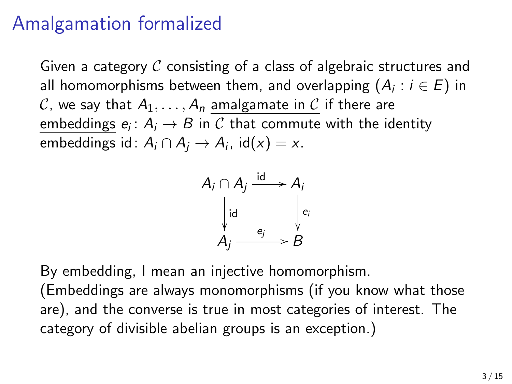# Amalgamation formalized

Given a category  $C$  consisting of a class of algebraic structures and all homomorphisms between them, and overlapping  $(A_i : i \in E)$  in C, we say that  $A_1, \ldots, A_n$  amalgamate in C if there are  $\overline{\mathsf{embeddings}}\ e_i\colon A_i\to B$  in  $\mathcal C$  that commute with the identity embeddings id $: A_i \cap A_j \rightarrow A_i$ , id $(x) = x$ .

$$
A_i \cap A_j \xrightarrow{\text{id}} A_i
$$
  
\n
$$
\downarrow id
$$
  
\n
$$
A_j \xrightarrow{e_j} B
$$

By embedding, I mean an injective homomorphism.

(Embeddings are always monomorphisms (if you know what those are), and the converse is true in most categories of interest. The category of divisible abelian groups is an exception.)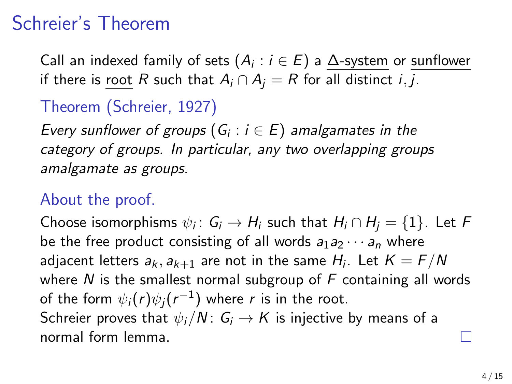# Schreier's Theorem

Call an indexed family of sets  $(A_i : i \in E)$  a  $\underline{\Delta}$ -system or sunflower if there is root R such that  $A_i \cap A_j = R$  for all distinct *i*, *j*.

### Theorem (Schreier, 1927)

Every sunflower of groups  $(G_i : i \in E)$  amalgamates in the category of groups. In particular, any two overlapping groups amalgamate as groups.

#### About the proof.

Choose isomorphisms  $\psi_i\colon\thinspace \mathsf{G}_i\to \mathsf{H}_i$  such that  $\mathsf{H}_i\cap \mathsf{H}_j=\{1\}.$  Let  $\mathsf F$ be the free product consisting of all words  $a_1 a_2 \cdots a_n$  where adjacent letters  $a_k, a_{k+1}$  are not in the same  $H_i$ . Let  $K=F/N$ where N is the smallest normal subgroup of  $F$  containing all words of the form  $\psi_i(r)\psi_j(r^{-1})$  where  $r$  is in the root. Schreier proves that  $\psi_i/N: G_i \to K$  is injective by means of a normal form lemma.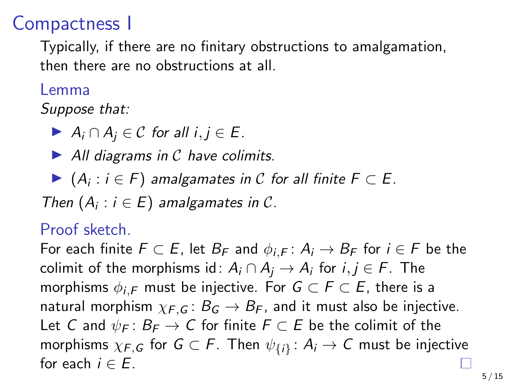### Compactness I

Typically, if there are no finitary obstructions to amalgamation, then there are no obstructions at all.

#### Lemma

Suppose that:

 $\triangleright$  A<sub>i</sub> ∩ A<sub>i</sub> ∈ C for all i, j ∈ E.

 $\blacktriangleright$  All diagrams in C have colimits.

▶  $(A_i : i \in F)$  amalgamates in C for all finite  $F \subset E$ .

Then  $(A_i : i \in E)$  amalgamates in C.

#### Proof sketch.

For each finite  $F \subset E$ , let  $B_F$  and  $\phi_{i,F} : A_i \to B_F$  for  $i \in F$  be the colimit of the morphisms id $: A_i \cap A_j \rightarrow A_i$  for  $i,j \in F.$  The morphisms  $\phi_{i,F}$  must be injective. For  $G \subset F \subset E$ , there is a natural morphism  $\chi_{F,G}$ :  $B_G \rightarrow B_F$ , and it must also be injective. Let C and  $\psi_F: B_F \to C$  for finite  $F \subset E$  be the colimit of the morphisms  $\chi_{F,G}$  for  $G\subset F.$  Then  $\psi_{\{i\}}\colon A_i\to C$  must be injective for each  $i \in E$ .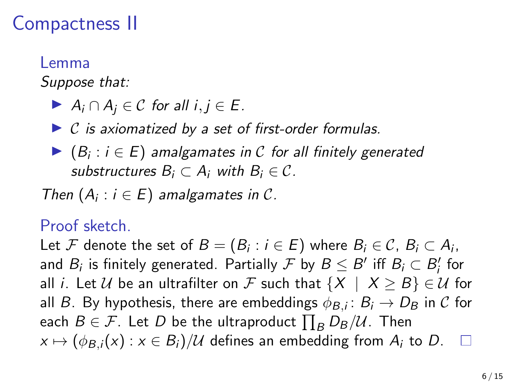# Compactness II

#### Lemma

Suppose that:

- $\triangleright$  A<sub>i</sub> ∩ A<sub>i</sub> ∈ C for all i,  $j \in E$ .
- $\triangleright$  C is axiomatized by a set of first-order formulas.
- ▶  $(B_i : i \in E)$  amalgamates in  $C$  for all finitely generated substructures  $B_i \subset A_i$  with  $B_i \in \mathcal{C}$ .

Then  $(A_i : i \in E)$  amalgamates in C.

#### Proof sketch.

Let  ${\mathcal F}$  denote the set of  $B=(B_i:i\in E)$  where  $B_i\in {\mathcal C}$ ,  $B_i\subset A_i$ , and  $B_i$  is finitely generated. Partially  $\mathcal F$  by  $B\leq B'$  iff  $B_i\subset B'_i$  for all *i*. Let U be an ultrafilter on F such that  $\{X \mid X \geq B\} \in \mathcal{U}$  for all  $B.$  By hypothesis, there are embeddings  $\phi_{B,i} \colon B_i \to D_B$  in  $\mathcal C$  for each  $B\in\mathcal{F}.$  Let  $D$  be the ultraproduct  $\prod_B D_B/\mathcal{U}.$  Then  $x \mapsto (\phi_{B,i}(x) : x \in B_i)/\mathcal{U}$  defines an embedding from  $A_i$  to D.  $\square$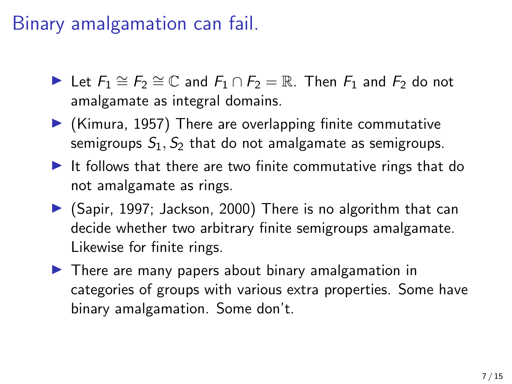# Binary amalgamation can fail.

- $\blacktriangleright$  Let  $F_1 \cong F_2 \cong \mathbb{C}$  and  $F_1 \cap F_2 = \mathbb{R}$ . Then  $F_1$  and  $F_2$  do not amalgamate as integral domains.
- $\blacktriangleright$  (Kimura, 1957) There are overlapping finite commutative semigroups  $S_1$ ,  $S_2$  that do not amalgamate as semigroups.
- It follows that there are two finite commutative rings that do not amalgamate as rings.
- $\triangleright$  (Sapir, 1997; Jackson, 2000) There is no algorithm that can decide whether two arbitrary finite semigroups amalgamate. Likewise for finite rings.
- $\blacktriangleright$  There are many papers about binary amalgamation in categories of groups with various extra properties. Some have binary amalgamation. Some don't.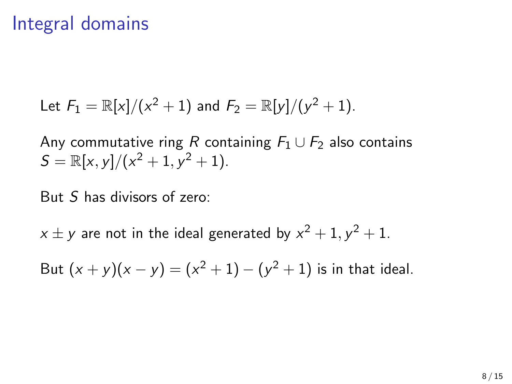## Integral domains

Let 
$$
F_1 = \mathbb{R}[x]/(x^2 + 1)
$$
 and  $F_2 = \mathbb{R}[y]/(y^2 + 1)$ .

Any commutative ring R containing  $F_1 \cup F_2$  also contains  $S = \mathbb{R}[x, y]/(x^2 + 1, y^2 + 1).$ 

But S has divisors of zero:

 $x \pm y$  are not in the ideal generated by  $x^2 + 1, y^2 + 1.$ 

But  $(x + y)(x - y) = (x^2 + 1) - (y^2 + 1)$  is in that ideal.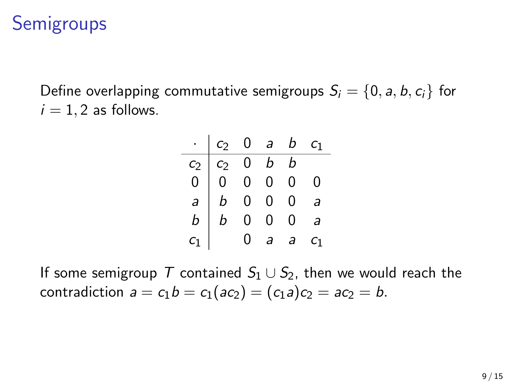# **Semigroups**

Define overlapping commutative semigroups  $S_i = \{0, a, b, c_i\}$  for  $i = 1, 2$  as follows.

|                                       |                                                                                      |   |         | $c_2$ 0 a b $c_1$ |                |
|---------------------------------------|--------------------------------------------------------------------------------------|---|---------|-------------------|----------------|
| $\begin{matrix} c_2 \ 0 \end{matrix}$ |                                                                                      |   | $b$ $b$ |                   |                |
|                                       |                                                                                      |   |         | 0                 | 0              |
| $\overline{a}$                        |                                                                                      |   |         | 0                 | a              |
| b                                     | $\begin{array}{c cc} c_2 & 0 & b \\ 0 & 0 & 0 \\ b & 0 & 0 \\ b & 0 & 0 \end{array}$ |   |         | 0                 |                |
|                                       |                                                                                      | 0 | a       | a                 | $\mathsf{C}_1$ |

If some semigroup T contained  $S_1 \cup S_2$ , then we would reach the contradiction  $a = c_1b = c_1(ac_2) = (c_1a)c_2 = ac_2 = b$ .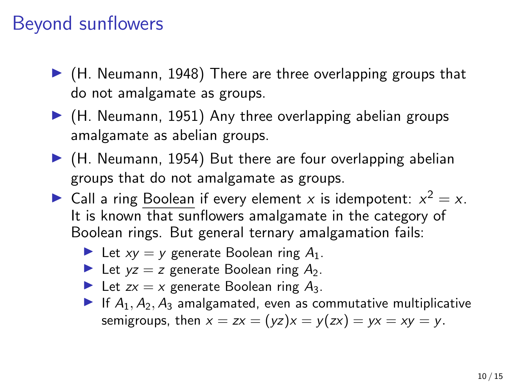# Beyond sunflowers

- $\blacktriangleright$  (H. Neumann, 1948) There are three overlapping groups that do not amalgamate as groups.
- $\blacktriangleright$  (H. Neumann, 1951) Any three overlapping abelian groups amalgamate as abelian groups.
- $\blacktriangleright$  (H. Neumann, 1954) But there are four overlapping abelian groups that do not amalgamate as groups.
- ightharpoonup Call a ring Boolean if every element x is idempotent:  $x^2 = x$ . It is known that sunflowers amalgamate in the category of Boolean rings. But general ternary amalgamation fails:
	- In Let  $xy = y$  generate Boolean ring  $A_1$ .
	- In Let  $yz = z$  generate Boolean ring  $A_2$ .
	- In Let  $zx = x$  generate Boolean ring  $A_3$ .
	- If  $A_1, A_2, A_3$  amalgamated, even as commutative multiplicative semigroups, then  $x = zx = (yz)x = y(zx) = yx = xy = y$ .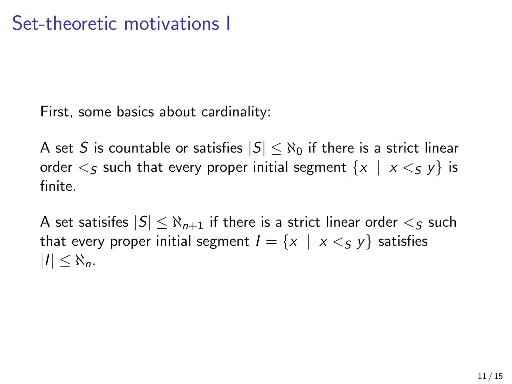First, some basics about cardinality:

A set S is countable or satisfies  $|S| \leq \aleph_0$  if there is a strict linear order  $\leq$  such that every proper initial segment  $\{x \mid x \leq y\}$  is finite.

A set satisifes  $|S| \leq \aleph_{n+1}$  if there is a strict linear order  $\lt_S$  such that every proper initial segment  $I = \{x \mid x \leq y\}$  satisfies  $|I| \leq \aleph_n$ .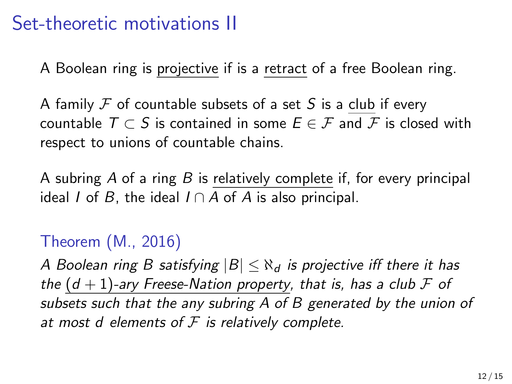## Set-theoretic motivations II

A Boolean ring is projective if is a retract of a free Boolean ring.

A family  $\mathcal F$  of countable subsets of a set S is a club if every countable  $T \subset S$  is contained in some  $E \in \mathcal{F}$  and  $\mathcal{F}$  is closed with respect to unions of countable chains.

A subring  $A$  of a ring  $B$  is relatively complete if, for every principal ideal *I* of *B*, the ideal  $I \cap A$  of *A* is also principal.

#### Theorem (M., 2016)

A Boolean ring B satisfying  $|B| \leq \aleph_d$  is projective iff there it has the  $(d + 1)$ -ary Freese-Nation property, that is, has a club F of subsets such that the any subring A of B generated by the union of at most d elements of  $F$  is relatively complete.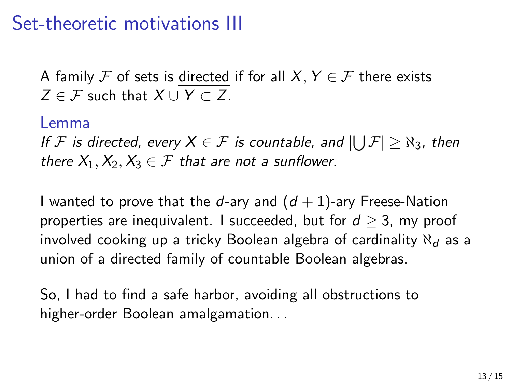# Set-theoretic motivations III

A family F of sets is directed if for all  $X, Y \in \mathcal{F}$  there exists  $Z \in \mathcal{F}$  such that  $X \cup Y \subset Z$ .

#### Lemma

If  ${\mathcal F}$  is directed, every  $X\in {\mathcal F}$  is countable, and  $|\bigcup {\mathcal F}|\geq \aleph_3$ , then there  $X_1, X_2, X_3 \in \mathcal{F}$  that are not a sunflower.

I wanted to prove that the d-ary and  $(d+1)$ -ary Freese-Nation properties are inequivalent. I succeeded, but for  $d > 3$ , my proof involved cooking up a tricky Boolean algebra of cardinality  $\aleph_d$  as a union of a directed family of countable Boolean algebras.

So, I had to find a safe harbor, avoiding all obstructions to higher-order Boolean amalgamation. . .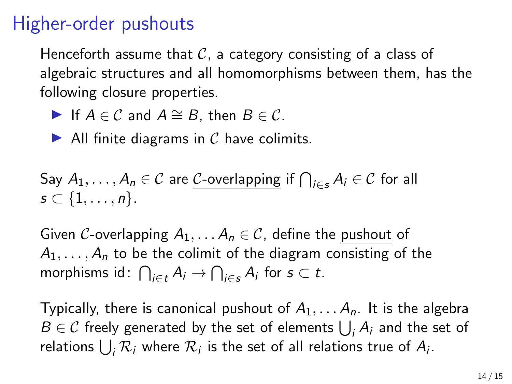# Higher-order pushouts

Henceforth assume that  $\mathcal C$ , a category consisting of a class of algebraic structures and all homomorphisms between them, has the following closure properties.

- If  $A \in \mathcal{C}$  and  $A \cong B$ , then  $B \in \mathcal{C}$ .
- $\blacktriangleright$  All finite diagrams in C have colimits.

Say 
$$
A_1, ..., A_n \in C
$$
 are C-overlapping if  $\bigcap_{i \in S} A_i \in C$  for all  $s \subset \{1, ..., n\}$ .

Given C-overlapping  $A_1, \ldots, A_n \in \mathcal{C}$ , define the pushout of  $A_1, \ldots, A_n$  to be the colimit of the diagram consisting of the morphisms id:  $\bigcap_{i \in t} A_i \to \bigcap_{i \in s} A_i$  for  $s \subset t$ .

Typically, there is canonical pushout of  $A_1, \ldots, A_n$ . It is the algebra  $B \in \mathcal{C}$  freely generated by the set of elements  $\bigcup_i A_i$  and the set of relations  $\bigcup_i \mathcal{R}_i$  where  $\mathcal{R}_i$  is the set of all relations true of  $A_i$ .